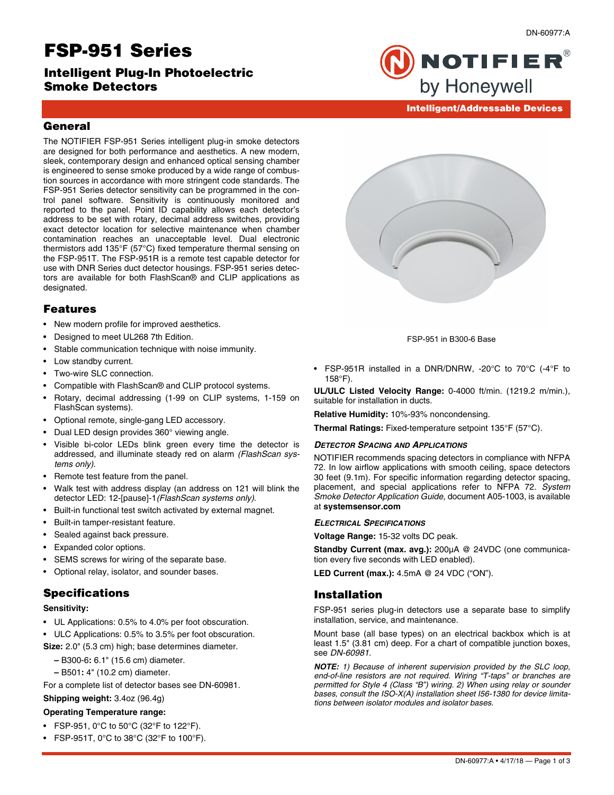# **FSP-951 Series**

**Intelligent Plug-In Photoelectric Smoke Detectors**

DN-60977:A



# **Intelligent/Addressable Devices**

## **General**

The NOTIFIER FSP-951 Series intelligent plug-in smoke detectors are designed for both performance and aesthetics. A new modern, sleek, contemporary design and enhanced optical sensing chamber is engineered to sense smoke produced by a wide range of combustion sources in accordance with more stringent code standards. The FSP-951 Series detector sensitivity can be programmed in the control panel software. Sensitivity is continuously monitored and reported to the panel. Point ID capability allows each detector's address to be set with rotary, decimal address switches, providing exact detector location for selective maintenance when chamber contamination reaches an unacceptable level. Dual electronic thermistors add 135°F (57°C) fixed temperature thermal sensing on the FSP-951T. The FSP-951R is a remote test capable detector for use with DNR Series duct detector housings. FSP-951 series detectors are available for both FlashScan® and CLIP applications as designated.

## **Features**

- New modern profile for improved aesthetics.
- Designed to meet UL268 7th Edition.
- Stable communication technique with noise immunity.
- Low standby current.
- Two-wire SLC connection.
- Compatible with FlashScan® and CLIP protocol systems.
- Rotary, decimal addressing (1-99 on CLIP systems, 1-159 on FlashScan systems).
- Optional remote, single-gang LED accessory.
- Dual LED design provides 360° viewing angle.
- Visible bi-color LEDs blink green every time the detector is addressed, and illuminate steady red on alarm *(FlashScan systems only)*.
- Remote test feature from the panel.
- Walk test with address display (an address on 121 will blink the detector LED: 12-[pause]-1*(FlashScan systems only)*.
- Built-in functional test switch activated by external magnet.
- Built-in tamper-resistant feature.
- Sealed against back pressure.
- Expanded color options.
- SEMS screws for wiring of the separate base.
- Optional relay, isolator, and sounder bases.

## **Specifications**

#### **Sensitivity:**

- UL Applications: 0.5% to 4.0% per foot obscuration.
- ULC Applications: 0.5% to 3.5% per foot obscuration.

**Size:** 2.0" (5.3 cm) high; base determines diameter.

- **–** B300-6**:** 6.1" (15.6 cm) diameter.
- **–** B501**:** 4" (10.2 cm) diameter.

For a complete list of detector bases see DN-60981.

#### **Shipping weight:** 3.4oz (96.4g)

#### **Operating Temperature range:**

- FSP-951, 0°C to 50°C (32°F to 122°F).
- FSP-951T, 0°C to 38°C (32°F to 100°F).



FSP-951 in B300-6 Base

• FSP-951R installed in a DNR/DNRW, -20°C to 70°C (-4°F to 158°F).

**UL/ULC Listed Velocity Range:** 0-4000 ft/min. (1219.2 m/min.), suitable for installation in ducts.

**Relative Humidity:** 10%-93% noncondensing.

**Thermal Ratings:** Fixed-temperature setpoint 135°F (57°C).

#### *DETECTOR SPACING AND APPLICATIONS*

NOTIFIER recommends spacing detectors in compliance with NFPA 72. In low airflow applications with smooth ceiling, space detectors 30 feet (9.1m). For specific information regarding detector spacing, placement, and special applications refer to NFPA 72. *System Smoke Detector Application Guide*, document A05-1003, is available at **systemsensor.com**

#### *ELECTRICAL SPECIFICATIONS*

**Voltage Range:** 15-32 volts DC peak.

**Standby Current (max. avg.):** 200μA @ 24VDC (one communication every five seconds with LED enabled).

**LED Current (max.):** 4.5mA @ 24 VDC ("ON").

## **Installation**

FSP-951 series plug-in detectors use a separate base to simplify installation, service, and maintenance.

Mount base (all base types) on an electrical backbox which is at least 1.5" (3.81 cm) deep. For a chart of compatible junction boxes, see *DN-60981.*

*NOTE: 1) Because of inherent supervision provided by the SLC loop, end-of-line resistors are not required. Wiring "T-taps" or branches are permitted for Style 4 (Class "B") wiring. 2) When using relay or sounder bases, consult the ISO-X(A) installation sheet I56-1380 for device limitations between isolator modules and isolator bases.*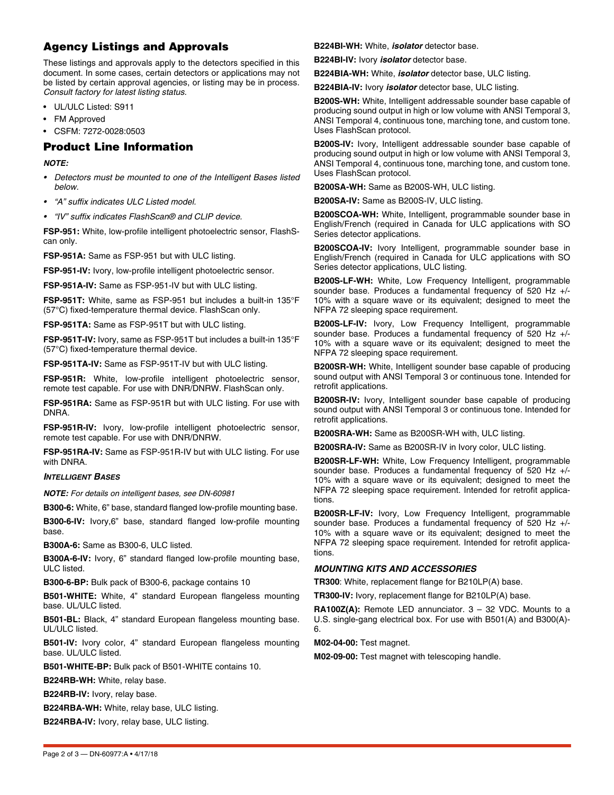# **Agency Listings and Approvals**

These listings and approvals apply to the detectors specified in this document. In some cases, certain detectors or applications may not be listed by certain approval agencies, or listing may be in process. *Consult factory for latest listing status.*

- UL/ULC Listed: S911
- FM Approved
- CSFM: 7272-0028:0503

## **Product Line Information**

*NOTE:* 

- *Detectors must be mounted to one of the Intelligent Bases listed below.*
- *"A" suffix indicates ULC Listed model.*
- *"IV" suffix indicates FlashScan® and CLIP device.*

**FSP-951:** White, low-profile intelligent photoelectric sensor, FlashScan only.

**FSP-951A:** Same as FSP-951 but with ULC listing.

**FSP-951-IV:** Ivory, low-profile intelligent photoelectric sensor.

**FSP-951A-IV:** Same as FSP-951-IV but with ULC listing.

**FSP-951T:** White, same as FSP-951 but includes a built-in 135°F (57°C) fixed-temperature thermal device. FlashScan only.

**FSP-951TA:** Same as FSP-951T but with ULC listing.

**FSP-951T-IV:** Ivory, same as FSP-951T but includes a built-in 135°F (57°C) fixed-temperature thermal device.

**FSP-951TA-IV:** Same as FSP-951T-IV but with ULC listing.

**FSP-951R:** White, low-profile intelligent photoelectric sensor, remote test capable. For use with DNR/DNRW. FlashScan only.

**FSP-951RA:** Same as FSP-951R but with ULC listing. For use with DNRA.

**FSP-951R-IV:** Ivory, low-profile intelligent photoelectric sensor, remote test capable. For use with DNR/DNRW.

**FSP-951RA-IV:** Same as FSP-951R-IV but with ULC listing. For use with DNRA.

#### *INTELLIGENT BASES*

*NOTE: For details on intelligent bases, see DN-60981*

**B300-6:** White, 6" base, standard flanged low-profile mounting base.

**B300-6-IV:** Ivory,6" base, standard flanged low-profile mounting base.

**B300A-6:** Same as B300-6, ULC listed.

**B300A-6-IV:** Ivory, 6" standard flanged low-profile mounting base, ULC listed.

**B300-6-BP:** Bulk pack of B300-6, package contains 10

**B501-WHITE:** White, 4" standard European flangeless mounting base. UL/ULC listed.

**B501-BL:** Black, 4" standard European flangeless mounting base. UL/ULC listed.

**B501-IV:** Ivory color, 4" standard European flangeless mounting base. UL/ULC listed.

**B501-WHITE-BP:** Bulk pack of B501-WHITE contains 10.

**B224RB-WH:** White, relay base.

**B224RB-IV:** Ivory, relay base.

**B224RBA-WH:** White, relay base, ULC listing.

**B224RBA-IV:** Ivory, relay base, ULC listing.

**B224BI-WH:** White, *isolator* detector base.

**B224BI-IV:** Ivory *isolator* detector base.

**B224BIA-WH:** White, *isolator* detector base, ULC listing.

**B224BIA-IV:** Ivory *isolator* detector base, ULC listing.

**B200S-WH:** White, Intelligent addressable sounder base capable of producing sound output in high or low volume with ANSI Temporal 3, ANSI Temporal 4, continuous tone, marching tone, and custom tone. Uses FlashScan protocol.

**B200S-IV:** Ivory, Intelligent addressable sounder base capable of producing sound output in high or low volume with ANSI Temporal 3, ANSI Temporal 4, continuous tone, marching tone, and custom tone. Uses FlashScan protocol.

**B200SA-WH:** Same as B200S-WH, ULC listing.

**B200SA-IV:** Same as B200S-IV, ULC listing.

**B200SCOA-WH:** White, Intelligent, programmable sounder base in English/French (required in Canada for ULC applications with SO Series detector applications.

**B200SCOA-IV:** Ivory Intelligent, programmable sounder base in English/French (required in Canada for ULC applications with SO Series detector applications, ULC listing.

**B200S-LF-WH:** White, Low Frequency Intelligent, programmable sounder base. Produces a fundamental frequency of 520 Hz +/- 10% with a square wave or its equivalent; designed to meet the NFPA 72 sleeping space requirement.

**B200S-LF-IV:** Ivory, Low Frequency Intelligent, programmable sounder base. Produces a fundamental frequency of 520 Hz +/- 10% with a square wave or its equivalent; designed to meet the NFPA 72 sleeping space requirement.

**B200SR-WH:** White, Intelligent sounder base capable of producing sound output with ANSI Temporal 3 or continuous tone. Intended for retrofit applications.

**B200SR-IV:** Ivory, Intelligent sounder base capable of producing sound output with ANSI Temporal 3 or continuous tone. Intended for retrofit applications.

**B200SRA-WH:** Same as B200SR-WH with, ULC listing.

**B200SRA-IV:** Same as B200SR-IV in Ivory color, ULC listing.

**B200SR-LF-WH:** White, Low Frequency Intelligent, programmable sounder base. Produces a fundamental frequency of 520 Hz +/- 10% with a square wave or its equivalent; designed to meet the NFPA 72 sleeping space requirement. Intended for retrofit applications.

**B200SR-LF-IV:** Ivory, Low Frequency Intelligent, programmable sounder base. Produces a fundamental frequency of 520 Hz +/- 10% with a square wave or its equivalent; designed to meet the NFPA 72 sleeping space requirement. Intended for retrofit applications.

#### *MOUNTING KITS AND ACCESSORIES*

**TR300**: White, replacement flange for B210LP(A) base.

**TR300-IV:** Ivory, replacement flange for B210LP(A) base.

**RA100Z(A):** Remote LED annunciator. 3 – 32 VDC. Mounts to a U.S. single-gang electrical box. For use with B501(A) and B300(A)- 6.

**M02-04-00:** Test magnet.

**M02-09-00:** Test magnet with telescoping handle.